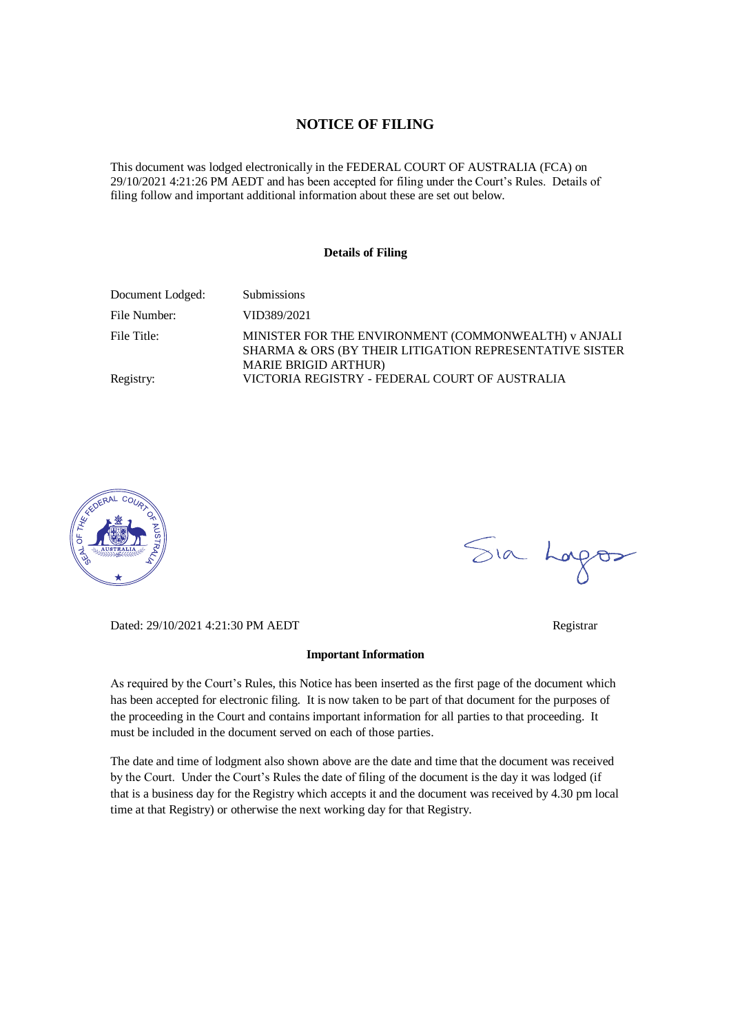## **NOTICE OF FILING**

This document was lodged electronically in the FEDERAL COURT OF AUSTRALIA (FCA) on 29/10/2021 4:21:26 PM AEDT and has been accepted for filing under the Court's Rules. Details of filing follow and important additional information about these are set out below.

## **Details of Filing**

| Document Lodged: | <b>Submissions</b>                                                                                                                             |
|------------------|------------------------------------------------------------------------------------------------------------------------------------------------|
| File Number:     | VID389/2021                                                                                                                                    |
| File Title:      | MINISTER FOR THE ENVIRONMENT (COMMONWEALTH) v ANJALI<br>SHARMA & ORS (BY THEIR LITIGATION REPRESENTATIVE SISTER<br><b>MARIE BRIGID ARTHUR)</b> |
| Registry:        | VICTORIA REGISTRY - FEDERAL COURT OF AUSTRALIA                                                                                                 |



Sia Lorgos

Dated: 29/10/2021 4:21:30 PM AEDT Registrar

## **Important Information**

As required by the Court's Rules, this Notice has been inserted as the first page of the document which has been accepted for electronic filing. It is now taken to be part of that document for the purposes of the proceeding in the Court and contains important information for all parties to that proceeding. It must be included in the document served on each of those parties.

The date and time of lodgment also shown above are the date and time that the document was received by the Court. Under the Court's Rules the date of filing of the document is the day it was lodged (if that is a business day for the Registry which accepts it and the document was received by 4.30 pm local time at that Registry) or otherwise the next working day for that Registry.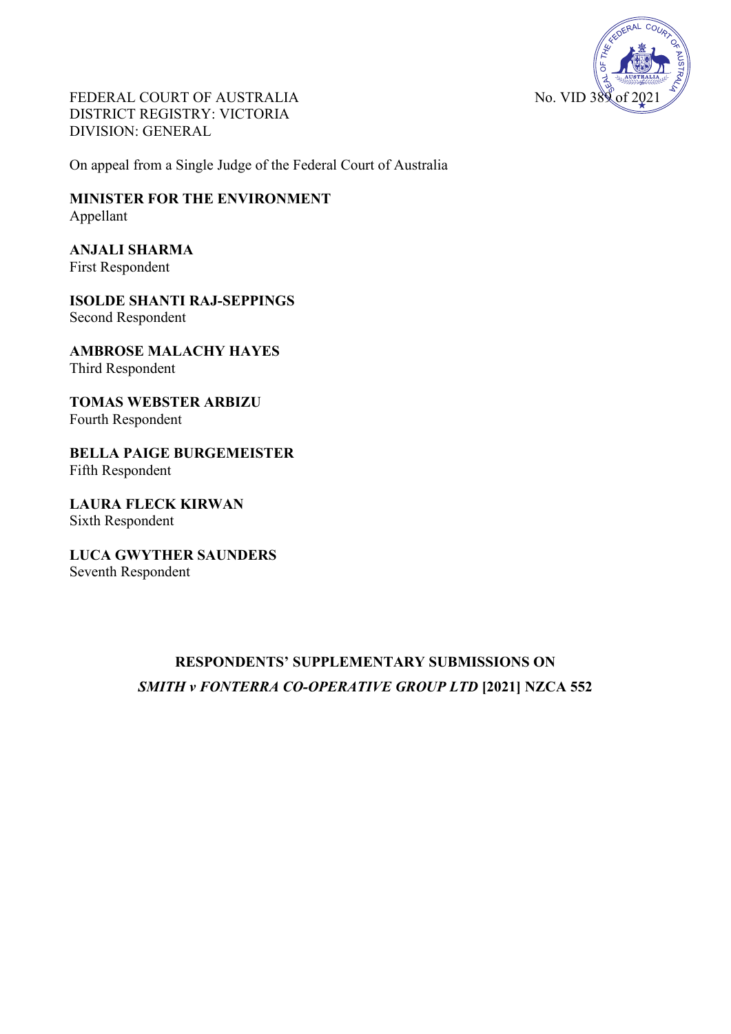

FEDERAL COURT OF AUSTRALIA **No. VID 38** DISTRICT REGISTRY: VICTORIA DIVISION: GENERAL

On appeal from a Single Judge of the Federal Court of Australia

**MINISTER FOR THE ENVIRONMENT** Appellant

**ANJALI SHARMA** First Respondent

**ISOLDE SHANTI RAJ-SEPPINGS** Second Respondent

**AMBROSE MALACHY HAYES** Third Respondent

**TOMAS WEBSTER ARBIZU** Fourth Respondent

**BELLA PAIGE BURGEMEISTER** Fifth Respondent

**LAURA FLECK KIRWAN** Sixth Respondent

**LUCA GWYTHER SAUNDERS** Seventh Respondent

## **RESPONDENTS' SUPPLEMENTARY SUBMISSIONS ON**  *SMITH v FONTERRA CO-OPERATIVE GROUP LTD* **[2021] NZCA 552**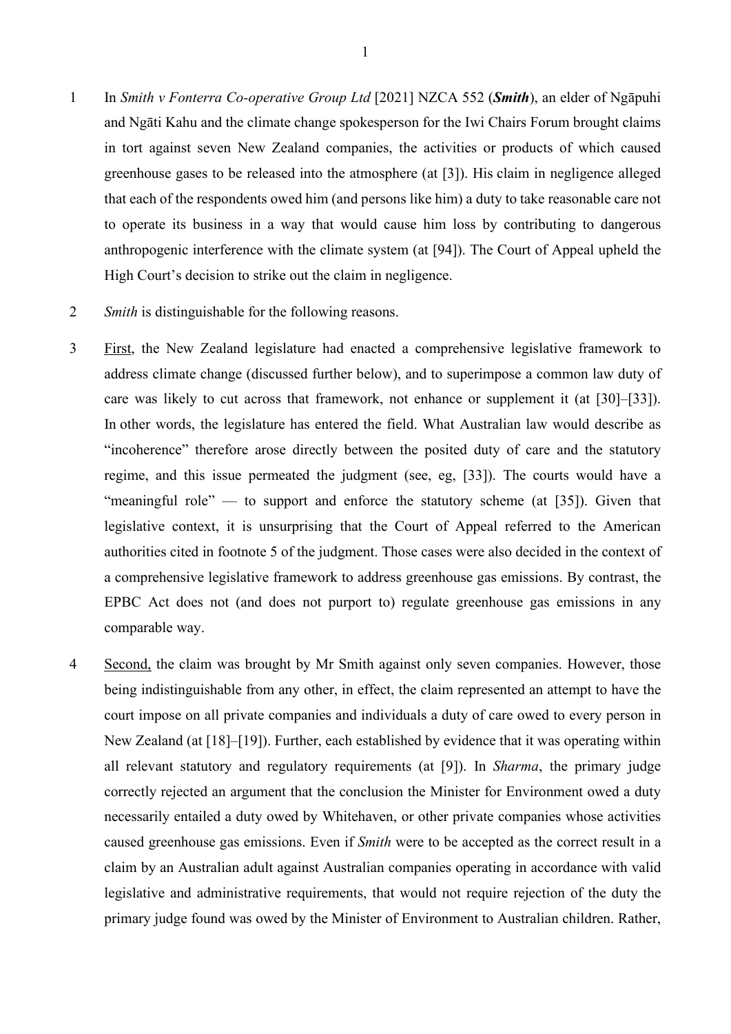- 1 In *Smith v Fonterra Co-operative Group Ltd* [2021] NZCA 552 (*Smith*), an elder of Ngāpuhi and Ngāti Kahu and the climate change spokesperson for the Iwi Chairs Forum brought claims in tort against seven New Zealand companies, the activities or products of which caused greenhouse gases to be released into the atmosphere (at [3]). His claim in negligence alleged that each of the respondents owed him (and persons like him) a duty to take reasonable care not to operate its business in a way that would cause him loss by contributing to dangerous anthropogenic interference with the climate system (at [94]). The Court of Appeal upheld the High Court's decision to strike out the claim in negligence.
- 2 *Smith* is distinguishable for the following reasons.
- 3 First, the New Zealand legislature had enacted a comprehensive legislative framework to address climate change (discussed further below), and to superimpose a common law duty of care was likely to cut across that framework, not enhance or supplement it (at [30]–[33]). In other words, the legislature has entered the field. What Australian law would describe as "incoherence" therefore arose directly between the posited duty of care and the statutory regime, and this issue permeated the judgment (see, eg, [33]). The courts would have a "meaningful role" — to support and enforce the statutory scheme (at [35]). Given that legislative context, it is unsurprising that the Court of Appeal referred to the American authorities cited in footnote 5 of the judgment. Those cases were also decided in the context of a comprehensive legislative framework to address greenhouse gas emissions. By contrast, the EPBC Act does not (and does not purport to) regulate greenhouse gas emissions in any comparable way.
- 4 Second, the claim was brought by Mr Smith against only seven companies. However, those being indistinguishable from any other, in effect, the claim represented an attempt to have the court impose on all private companies and individuals a duty of care owed to every person in New Zealand (at [18]–[19]). Further, each established by evidence that it was operating within all relevant statutory and regulatory requirements (at [9]). In *Sharma*, the primary judge correctly rejected an argument that the conclusion the Minister for Environment owed a duty necessarily entailed a duty owed by Whitehaven, or other private companies whose activities caused greenhouse gas emissions. Even if *Smith* were to be accepted as the correct result in a claim by an Australian adult against Australian companies operating in accordance with valid legislative and administrative requirements, that would not require rejection of the duty the primary judge found was owed by the Minister of Environment to Australian children. Rather,